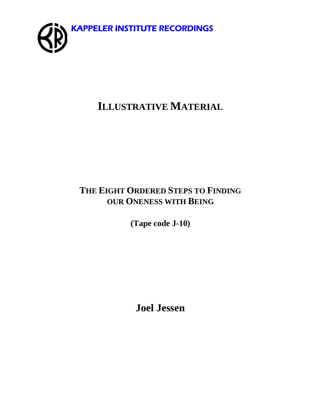

# **ILLUSTRATIVE MATERIAL**

# **THE EIGHT ORDERED STEPS TO FINDING OUR ONENESS WITH BEING**

**(Tape code J-10)** 

**Joel Jessen**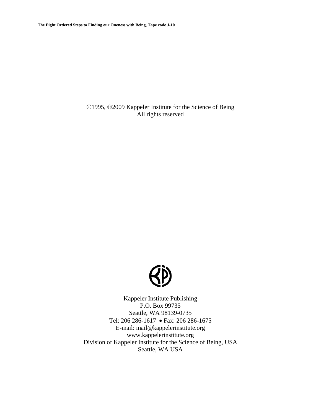**The Eight Ordered Steps to Finding our Oneness with Being, Tape code J-10** 

©1995, ©2009 Kappeler Institute for the Science of Being All rights reserved



Kappeler Institute Publishing P.O. Box 99735 Seattle, WA 98139-0735 Tel: 206 286-1617 • Fax: 206 286-1675 E-mail: mail@kappelerinstitute.org www.kappelerinstitute.org Division of Kappeler Institute for the Science of Being, USA Seattle, WA USA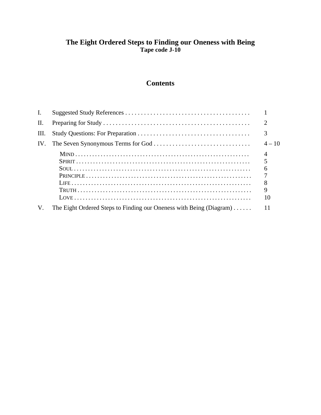### **The Eight Ordered Steps to Finding our Oneness with Being Tape code J-10**

# **Contents**

| $\mathbf{I}$ . |                                                                     |                                               |
|----------------|---------------------------------------------------------------------|-----------------------------------------------|
| П.             |                                                                     | 2                                             |
| III.           |                                                                     | 3                                             |
| IV.            |                                                                     | $4 - 10$                                      |
|                |                                                                     | $\overline{5}$<br>6<br>8<br>$\mathbf Q$<br>10 |
| $V_{\cdot}$    | The Eight Ordered Steps to Finding our Oneness with Being (Diagram) | 11                                            |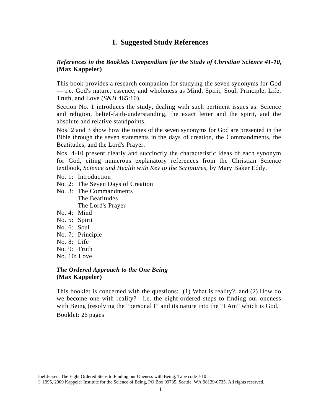### **I. Suggested Study References**

### *References in the Booklets Compendium for the Study of Christian Science #1-10,*  **(Max Kappeler)**

This book provides a research companion for studying the seven synonyms for God — i.e. God's nature, essence, and wholeness as Mind, Spirit, Soul, Principle, Life, Truth, and Love (*S&H* 465:10).

Section No. 1 introduces the study, dealing with such pertinent issues as: Science and religion, belief-faith-understanding, the exact letter and the spirit, and the absolute and relative standpoints.

Nos. 2 and 3 show how the tones of the seven synonyms for God are presented in the Bible through the seven statements in the days of creation, the Commandments, the Beatitudes, and the Lord's Prayer.

Nos. 4-10 present clearly and succinctly the characteristic ideas of each synonym for God, citing numerous explanatory references from the Christian Science textbook, *Science and Health with Key to the Scriptures*, by Mary Baker Eddy.

- No. 1: Introduction
- No. 2: The Seven Days of Creation
- No. 3: The Commandments The Beatitudes The Lord's Prayer
- No. 4: Mind
- No. 5: Spirit
- No. 6: Soul
- No. 7: Principle
- No. 8: Life
- No. 9: Truth
- No. 10: Love

### *The Ordered Approach to the One Being* **(Max Kappeler)**

This booklet is concerned with the questions: (1) What is reality?, and (2) How do we become one with reality?—i.e. the eight-ordered steps to finding our oneness with Being (resolving the "personal I" and its nature into the "I Am" which is God. Booklet: 26 pages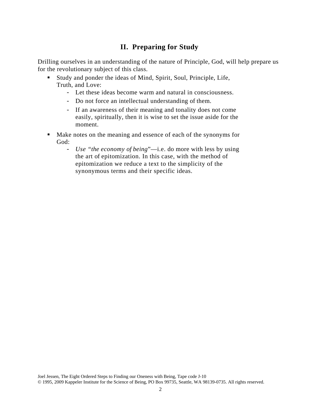# **II. Preparing for Study**

Drilling ourselves in an understanding of the nature of Principle, God, will help prepare us for the revolutionary subject of this class.

- Study and ponder the ideas of Mind, Spirit, Soul, Principle, Life, Truth, and Love:
	- Let these ideas become warm and natural in consciousness.
	- Do not force an intellectual understanding of them.
	- If an awareness of their meaning and tonality does not come easily, spiritually, then it is wise to set the issue aside for the moment.
- Make notes on the meaning and essence of each of the synonyms for God:
	- *Use "the economy of being*"—i.e. do more with less by using the art of epitomization. In this case, with the method of epitomization we reduce a text to the simplicity of the synonymous terms and their specific ideas.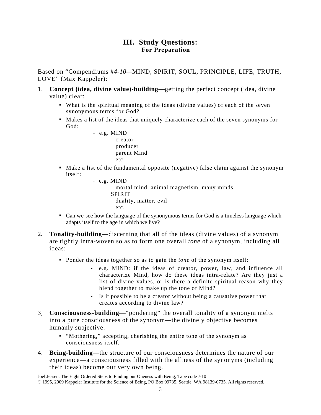## **III. Study Questions: For Preparation**

Based on "Compendiums #*4-10—*MIND, SPIRIT, SOUL, PRINCIPLE, LIFE, TRUTH, LOVE" (Max Kappeler):

- 1. **Concept (idea, divine value)-building**—getting the perfect concept (idea, divine value) clear:
	- What is the spiritual meaning of the ideas (divine values) of each of the seven synonymous terms for God?
	- Makes a list of the ideas that uniquely characterize each of the seven synonyms for God:
		- e.g. MIND creator producer parent Mind etc.
	- Make a list of the fundamental opposite (negative) false claim against the synonym itself:
		- e.g. MIND mortal mind, animal magnetism, many minds SPIRIT duality, matter, evil etc.
	- Can we see how the language of the synonymous terms for God is a timeless language which adapts itself to the age in which we live?
- 2. **Tonality-building**—discerning that all of the ideas (divine values) of a synonym are tightly intra-woven so as to form one overall *tone* of a synonym, including all ideas:
	- **Ponder the ideas together so as to gain the** *tone* of the synonym itself:
		- e.g. MIND: if the ideas of creator, power, law, and influence all characterize Mind, how do these ideas intra-relate? Are they just a list of divine values, or is there a definite spiritual reason why they blend together to make up the tone of Mind?
		- Is it possible to be a creator without being a causative power that creates according to divine law?
- 3. **Consciousness-building**—"pondering" the overall tonality of a synonym melts into a pure consciousness of the synonym—the divinely objective becomes humanly subjective:
	- "Mothering," accepting, cherishing the entire tone of the synonym as consciousness itself.
- 4. **Being-building**—the structure of our consciousness determines the nature of our experience—a consciousness filled with the allness of the synonyms (including their ideas) become our very own being.

Joel Jessen, The Eight Ordered Steps to Finding our Oneness with Being, Tape code J-10 © 1995, 2009 Kappeler Institute for the Science of Being, PO Box 99735, Seattle, WA 98139-0735. All rights reserved.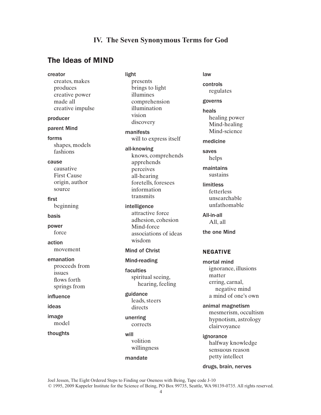### **IV. The Seven Synonymous Terms for God**

### The Ideas of MIND

creator creates, makes produces creative power made all creative impulse producer parent Mind forms shapes, models fashions cause causative First Cause origin, author source first beginning basis power force action movement emanation proceeds from issues flows forth springs from influence ideas image model thoughts

light presents brings to light illumines comprehension illumination vision discovery manifests will to express itself all-knowing knows, comprehends apprehends perceives all-hearing foretells, foresees information transmits intelligence attractive force adhesion, cohesion Mind-force associations of ideas wisdom Mind of Christ

#### Mind-reading

faculties spiritual seeing, hearing, feeling

guidance leads, steers directs

unerring corrects

will volition willingness

#### mandate

law

controls regulates

governs

heals healing power Mind-healing Mind-science

medicine

saves helps

maintains sustains

limitless fetterless unsearchable unfathomable

All-in-all All, all

the one Mind

#### NEGATIVE

mortal mind ignorance, illusions matter erring, carnal, negative mind a mind of one's own

animal magnetism mesmerism, occultism hypnotism, astrology clairvoyance

ignorance halfway knowledge sensuous reason petty intellect

drugs, brain, nerves

Joel Jessen, The Eight Ordered Steps to Finding our Oneness with Being, Tape code J-10 © 1995, 2009 Kappeler Institute for the Science of Being, PO Box 99735, Seattle, WA 98139-0735. All rights reserved.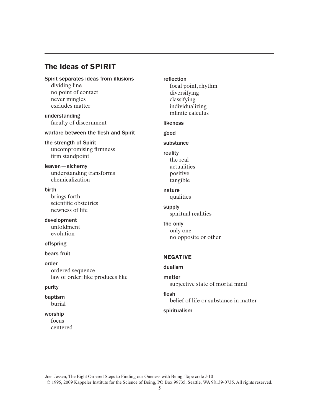## The Ideas of SPIRIT

#### Spirit separates ideas from illusions

dividing line no point of contact never mingles excludes matter

understanding faculty of discernment

#### warfare between the flesh and Spirit

the strength of Spirit uncompromising firmness firm standpoint

leaven—alchemy understanding transforms chemicalization

birth

brings forth scientific obstetrics newness of life

development unfoldment evolution

#### offspring

#### bears fruit

order ordered sequence law of order: like produces like

#### purity

baptism burial

#### worship

focus centered reflection focal point, rhythm diversifying classifying individualizing infinite calculus likeness good substance reality the real actualities positive tangible nature qualities supply spiritual realities the only only one no opposite or other NEGATIVE dualism matter subjective state of mortal mind

flesh belief of life or substance in matter

#### spiritualism

Joel Jessen, The Eight Ordered Steps to Finding our Oneness with Being, Tape code J-10 © 1995, 2009 Kappeler Institute for the Science of Being, PO Box 99735, Seattle, WA 98139-0735. All rights reserved.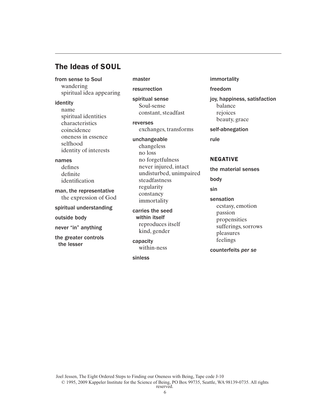### The Ideas of SOUL

from sense to Soul wandering spiritual idea appearing

#### identity

name spiritual identities characteristics coincidence oneness in essence selfhood identity of interests

#### names

defines definite identification

man, the representative the expression of God

spiritual understanding

outside body

never "in" anything

the greater controls the lesser

master

resurrection

spiritual sense Soul-sense constant, steadfast

reverses exchanges, transforms

unchangeable changeless no loss no forgetfulness never injured, intact undisturbed, unimpaired steadfastness regularity constancy immortality

carries the seed within itself reproduces itself kind, gender

capacity within-ness

sinless

immortality

#### freedom

joy, happiness, satisfaction balance rejoices beauty, grace

self-abnegation

rule

#### NEGATIVE

the material senses

body

sin

- sensation
- ecstasy, emotion passion propensities sufferings, sorrows pleasures feelings

counterfeits *per se*

Joel Jessen, The Eight Ordered Steps to Finding our Oneness with Being, Tape code J-10 © 1995, 2009 Kappeler Institute for the Science of Being, PO Box 99735, Seattle, WA 98139-0735. All rights reserved.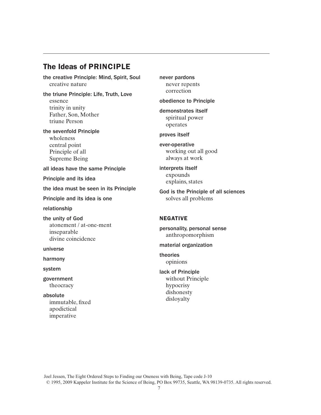# The Ideas of PRINCIPLE

the creative Principle: Mind, Spirit, Soul creative nature

the triune Principle: Life, Truth, Love essence trinity in unity Father, Son, Mother triune Person

the sevenfold Principle wholeness central point Principle of all Supreme Being

all ideas have the same Principle

Principle and its idea

the idea must be seen in its Principle

Principle and its idea is one

relationship

the unity of God atonement / at-one-ment inseparable divine coincidence

universe

harmony

system

government theocracy

absolute immutable, fixed apodictical imperative

never pardons never repents correction

obedience to Principle

demonstrates itself spiritual power operates

proves itself

ever-operative working out all good always at work

interprets itself expounds explains, states

God is the Principle of all sciences solves all problems

#### NEGATIVE

personality, personal sense anthropomorphism

material organization

theories opinions

lack of Principle without Principle hypocrisy dishonesty disloyalty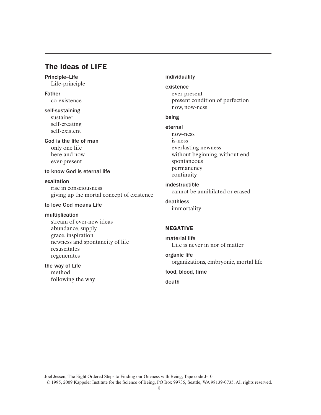# The Ideas of LIFE

Principle–Life Life-principle

Father co-existence

self-sustaining sustainer self-creating self-existent

God is the life of man only one life here and now ever-present

#### to know God is eternal life

exaltation rise in consciousness giving up the mortal concept of existence

#### to love God means Life

#### multiplication

stream of ever-new ideas abundance, supply grace, inspiration newness and spontaneity of life resuscitates regenerates

the way of Life method following the way

#### individuality

existence ever-present present condition of perfection now, now-ness

#### being

eternal now-ness is-ness everlasting newness without beginning, without end spontaneous permanency continuity

indestructible cannot be annihilated or erased

deathless immortality

### NEGATIVE

material life Life is never in nor of matter

organic life organizations, embryonic, mortal life

food, blood, time

death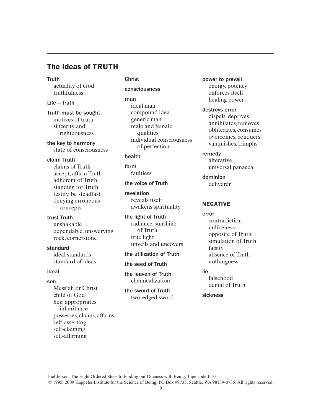## The Ideas of TRUTH

#### **Truth**

actuality of God truthfulness

#### Life—Truth

Truth must be sought motives of truth sincerity and righteousness

the key to harmony state of consciousness

#### claim Truth

claims of Truth accept, affirm Truth adherent of Truth standing for Truth testify, be steadfast denying erroneous concepts

#### trust Truth

unshakable dependable, unswerving rock, cornerstone

### standard

ideal standards standard of ideas

### ideal

#### son

Messiah or Christ child of God heir appropriates inheritance possesses, claims, affirms self-asserting self-claiming self-affirming

### Christ consciousness

man ideal man compound idea generic man male and female qualities individual consciousness of perfection

#### health

form faultless

#### the voice of Truth

revelation reveals itself awakens spirituality

the light of Truth radiance, sunshine of Truth true light unveils and uncovers

#### the utilization of Truth

the seed of Truth

the leaven of Truth chemicalization

the sword of Truth two-edged sword power to prevail energy, potency enforces itself healing power

destroys error dispels, deprives annihilates, removes obliterates, consumes overcomes, conquers vanquishes, trimphs

#### remedy

alterative universal panacea

dominion deliverer

#### NEGATIVE

error contradiction unlikeness opposite of Truth simulation of Truth falsity absence of Truth nothingness

#### lie

falsehood denial of Truth

sickness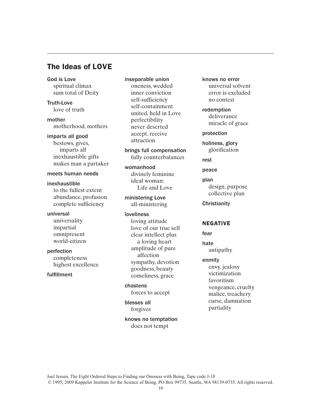### The Ideas of LOVE

God is Love spiritual climax sum total of Deity

Truth-Love love of truth

mother motherhood, mothers

imparts all good

bestows, gives, imparts all inexhaustible gifts makes man a partaker

#### meets human needs

inexhaustible to the fullest extent abundance, profusion complete sufficiency

universal universality impartial omnipresent world-citizen

perfection completeness highest excellence

fulfillment

inseparable union oneness, wedded inner conviction self-sufficiency self-containment united, held in Love perfectibility never deserted accept, receive attraction

brings full compensation fully counterbalances

womanhood divinely feminine ideal woman: Life and Love

ministering Love all-ministering

loveliness loving attitude love of our true self clear intellect plus a loving heart amplitude of pure affection sympathy, devotion goodness, beauty comeliness, grace

chastens forces to accept

blesses all forgives

knows no temptation does not tempt

knows no error universal solvent error is excluded no contest

redemption deliverance miracle of grace

protection

holiness, glory glorification

rest

peace

plan design, purpose collective plan

**Christianity** 

#### NEGATIVE

fear

hate antipathy

enmity

envy, jealosy victimization favoritism vengeance, cruelty malice, treachery curse, damnation partiality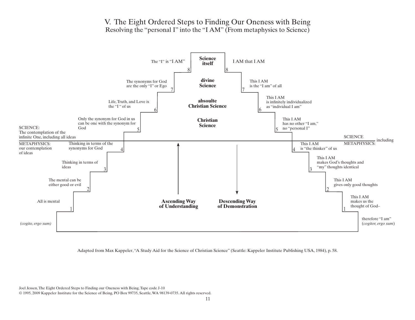### V. The Eight Ordered Steps to Finding Our Oneness with Being Resolving the "personal I" into the "I AM" (From metaphysics to Science)



Adapted from Max Kappeler, "A Study Aid for the Science of Christian Science" (Seattle: Kappeler Institute Publishing USA, 1984), p. 58.

Joel Jessen, The Eight Ordered Steps to Finding our Oneness with Being, Tape code J-10

© 1995, 2009 Kappeler Institute for the Science of Being, PO Box 99735, Seattle, WA 98139-0735. All rights reserved.